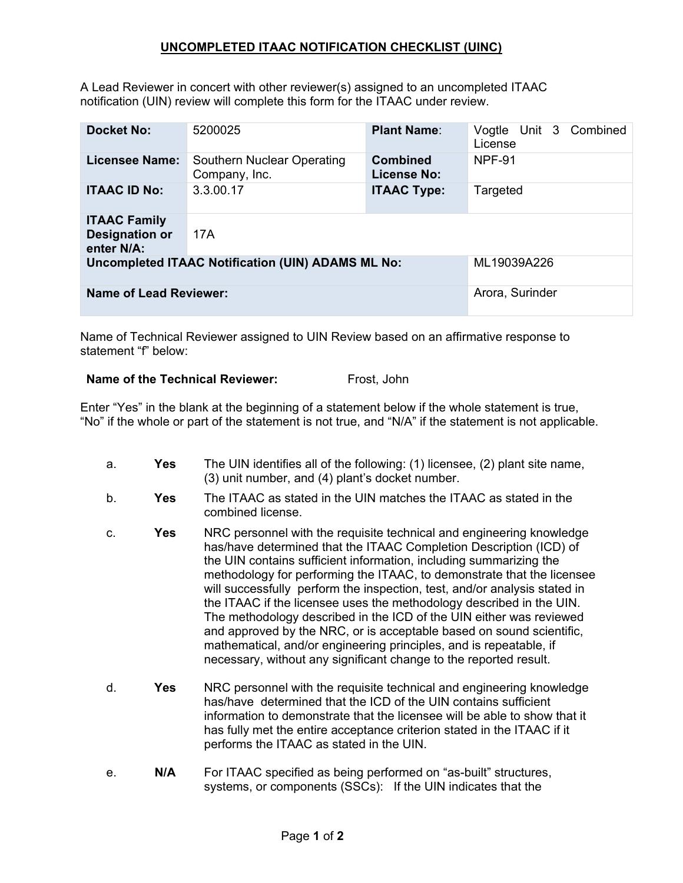## **UNCOMPLETED ITAAC NOTIFICATION CHECKLIST (UINC)**

A Lead Reviewer in concert with other reviewer(s) assigned to an uncompleted ITAAC notification (UIN) review will complete this form for the ITAAC under review.

| <b>Docket No:</b>                                          | 5200025                                     | <b>Plant Name:</b>                    | Vogtle Unit 3 Combined<br>License |
|------------------------------------------------------------|---------------------------------------------|---------------------------------------|-----------------------------------|
| <b>Licensee Name:</b>                                      | Southern Nuclear Operating<br>Company, Inc. | <b>Combined</b><br><b>License No:</b> | <b>NPF-91</b>                     |
| <b>ITAAC ID No:</b>                                        | 3.3.00.17                                   | <b>ITAAC Type:</b>                    | Targeted                          |
| <b>ITAAC Family</b><br><b>Designation or</b><br>enter N/A: | 17A                                         |                                       |                                   |
| <b>Uncompleted ITAAC Notification (UIN) ADAMS ML No:</b>   |                                             |                                       | ML19039A226                       |
| <b>Name of Lead Reviewer:</b>                              |                                             |                                       | Arora, Surinder                   |

Name of Technical Reviewer assigned to UIN Review based on an affirmative response to statement "f" below:

## **Name of the Technical Reviewer:** Frost, John

Enter "Yes" in the blank at the beginning of a statement below if the whole statement is true, "No" if the whole or part of the statement is not true, and "N/A" if the statement is not applicable.

a. **Yes** The UIN identifies all of the following: (1) licensee, (2) plant site name, (3) unit number, and (4) plant's docket number. b. **Yes** The ITAAC as stated in the UIN matches the ITAAC as stated in the combined license. c. **Yes** NRC personnel with the requisite technical and engineering knowledge has/have determined that the ITAAC Completion Description (ICD) of the UIN contains sufficient information, including summarizing the methodology for performing the ITAAC, to demonstrate that the licensee will successfully perform the inspection, test, and/or analysis stated in the ITAAC if the licensee uses the methodology described in the UIN. The methodology described in the ICD of the UIN either was reviewed and approved by the NRC, or is acceptable based on sound scientific, mathematical, and/or engineering principles, and is repeatable, if necessary, without any significant change to the reported result. d. **Yes** NRC personnel with the requisite technical and engineering knowledge has/have determined that the ICD of the UIN contains sufficient information to demonstrate that the licensee will be able to show that it has fully met the entire acceptance criterion stated in the ITAAC if it performs the ITAAC as stated in the UIN. e. **N/A** For ITAAC specified as being performed on "as-built" structures, systems, or components (SSCs): If the UIN indicates that the